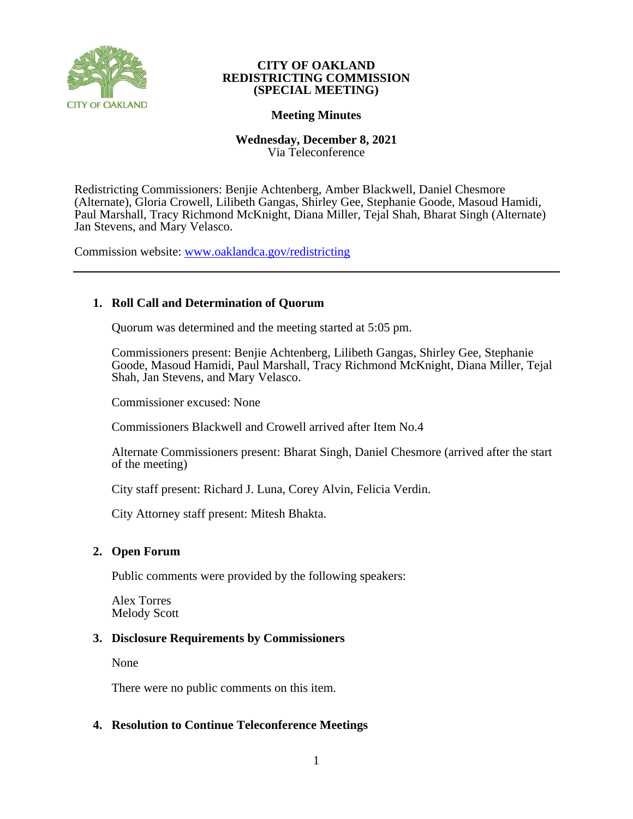

## **Meeting Minutes**

## **Wednesday, December 8, 2021** Via Teleconference

Redistricting Commissioners: Benjie Achtenberg, Amber Blackwell, Daniel Chesmore (Alternate), Gloria Crowell, Lilibeth Gangas, Shirley Gee, Stephanie Goode, Masoud Hamidi, Paul Marshall, Tracy Richmond McKnight, Diana Miller, Tejal Shah, Bharat Singh (Alternate) Jan Stevens, and Mary Velasco.

Commission website: [www.oaklandca.gov/redistricting](https://www.oaklandca.gov/boards-commissions/redistricting-commission/meetings)

# **1. Roll Call and Determination of Quorum**

Quorum was determined and the meeting started at 5:05 pm.

Commissioners present: Benjie Achtenberg, Lilibeth Gangas, Shirley Gee, Stephanie Goode, Masoud Hamidi, Paul Marshall, Tracy Richmond McKnight, Diana Miller, Tejal Shah, Jan Stevens, and Mary Velasco.

Commissioner excused: None

Commissioners Blackwell and Crowell arrived after Item No.4

Alternate Commissioners present: Bharat Singh, Daniel Chesmore (arrived after the start of the meeting)

City staff present: Richard J. Luna, Corey Alvin, Felicia Verdin.

City Attorney staff present: Mitesh Bhakta.

# **2. Open Forum**

Public comments were provided by the following speakers:

Alex Torres Melody Scott

# **3. Disclosure Requirements by Commissioners**

None

There were no public comments on this item.

# **4. Resolution to Continue Teleconference Meetings**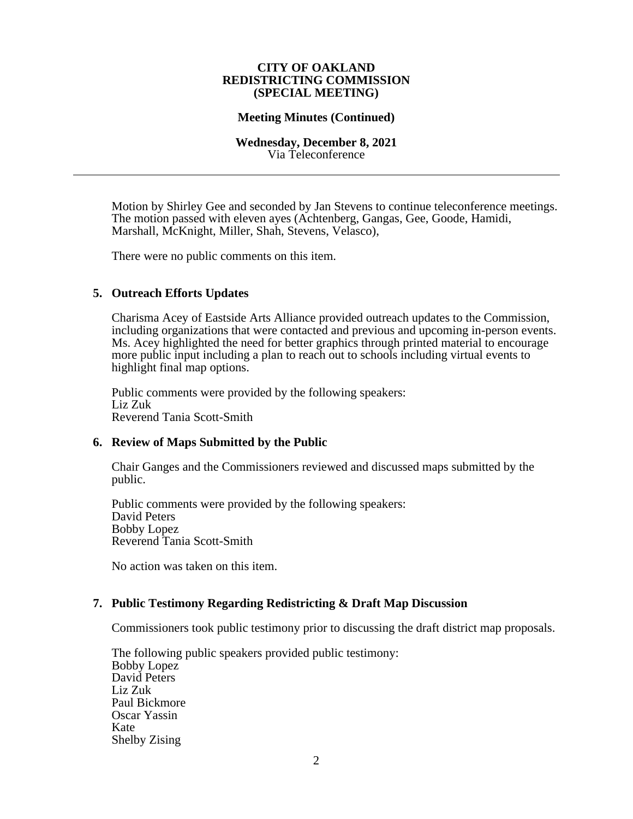## **Meeting Minutes (Continued)**

#### **Wednesday, December 8, 2021** Via Teleconference

Motion by Shirley Gee and seconded by Jan Stevens to continue teleconference meetings. The motion passed with eleven ayes (Achtenberg, Gangas, Gee, Goode, Hamidi, Marshall, McKnight, Miller, Shah, Stevens, Velasco),

There were no public comments on this item.

# **5. Outreach Efforts Updates**

Charisma Acey of Eastside Arts Alliance provided outreach updates to the Commission, including organizations that were contacted and previous and upcoming in-person events. Ms. Acey highlighted the need for better graphics through printed material to encourage more public input including a plan to reach out to schools including virtual events to highlight final map options.

Public comments were provided by the following speakers: Liz Zuk Reverend Tania Scott-Smith

## **6. Review of Maps Submitted by the Public**

Chair Ganges and the Commissioners reviewed and discussed maps submitted by the public.

Public comments were provided by the following speakers: David Peters Bobby Lopez Reverend Tania Scott-Smith

No action was taken on this item.

# **7. Public Testimony Regarding Redistricting & Draft Map Discussion**

Commissioners took public testimony prior to discussing the draft district map proposals.

The following public speakers provided public testimony: Bobby Lopez David Peters Liz Zuk Paul Bickmore Oscar Yassin Kate Shelby Zising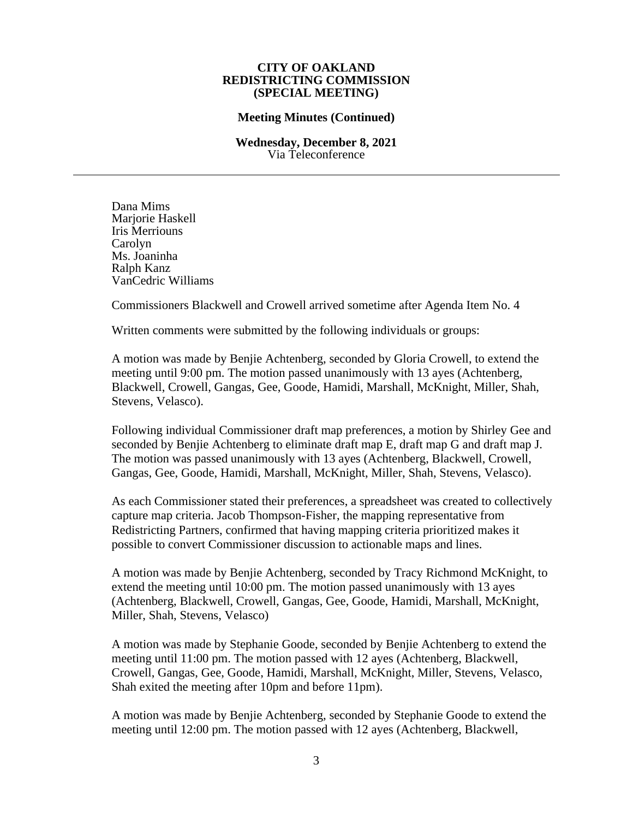#### **Meeting Minutes (Continued)**

#### **Wednesday, December 8, 2021** Via Teleconference

Dana Mims Mariorie Haskell Iris Merriouns Carolyn Ms. Joaninha Ralph Kanz VanCedric Williams

Commissioners Blackwell and Crowell arrived sometime after Agenda Item No. 4

Written comments were submitted by the following individuals or groups:

A motion was made by Benjie Achtenberg, seconded by Gloria Crowell, to extend the meeting until 9:00 pm. The motion passed unanimously with 13 ayes (Achtenberg, Blackwell, Crowell, Gangas, Gee, Goode, Hamidi, Marshall, McKnight, Miller, Shah, Stevens, Velasco).

Following individual Commissioner draft map preferences, a motion by Shirley Gee and seconded by Benjie Achtenberg to eliminate draft map E, draft map G and draft map J. The motion was passed unanimously with 13 ayes (Achtenberg, Blackwell, Crowell, Gangas, Gee, Goode, Hamidi, Marshall, McKnight, Miller, Shah, Stevens, Velasco).

As each Commissioner stated their preferences, a spreadsheet was created to collectively capture map criteria. Jacob Thompson-Fisher, the mapping representative from Redistricting Partners, confirmed that having mapping criteria prioritized makes it possible to convert Commissioner discussion to actionable maps and lines.

A motion was made by Benjie Achtenberg, seconded by Tracy Richmond McKnight, to extend the meeting until 10:00 pm. The motion passed unanimously with 13 ayes (Achtenberg, Blackwell, Crowell, Gangas, Gee, Goode, Hamidi, Marshall, McKnight, Miller, Shah, Stevens, Velasco)

A motion was made by Stephanie Goode, seconded by Benjie Achtenberg to extend the meeting until 11:00 pm. The motion passed with 12 ayes (Achtenberg, Blackwell, Crowell, Gangas, Gee, Goode, Hamidi, Marshall, McKnight, Miller, Stevens, Velasco, Shah exited the meeting after 10pm and before 11pm).

A motion was made by Benjie Achtenberg, seconded by Stephanie Goode to extend the meeting until 12:00 pm. The motion passed with 12 ayes (Achtenberg, Blackwell,